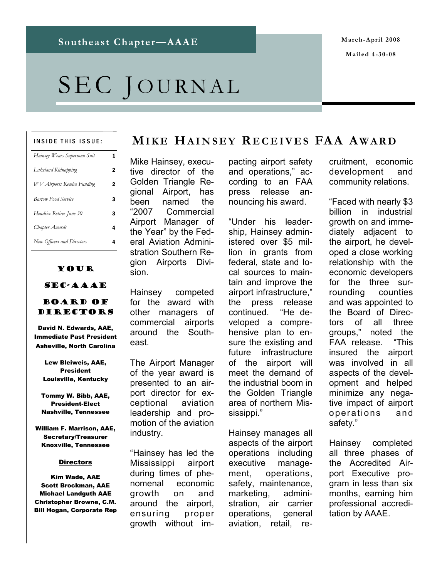# SEC JOURNAL

#### INSIDE THIS ISSUE:

| Hainsey Wears Superman Suit | 1 |
|-----------------------------|---|
| Lakeland Kidnapping         | 2 |
| WV Airports Receive Funding | 2 |
| <b>Bartow Food Service</b>  | 3 |
| Hendrix Retires June 30     | 3 |
| Chapter Awards              | 4 |
| New Officers and Directors  | 4 |

### Your

### SEC-AAAE

#### Board of DIRECTORS

David N. Edwards, AAE, Immediate Past President Asheville, North Carolina

Lew Bleiweis, AAE, President Louisville, Kentucky

Tommy W. Bibb, AAE, President-Elect Nashville, Tennessee

William F. Marrison, AAE, Secretary/Treasurer Knoxville, Tennessee

#### **Directors**

Kim Wade, AAE Scott Brockman, AAE Michael Landguth AAE Christopher Browne, C.M. Bill Hogan, Corporate Rep

### **MIKE HAINSEY R ECEIVES FAA A WARD**

Mike Hainsey, executive director of the Golden Triangle Regional Airport, has been named the "2007 Commercial Airport Manager of the Year" by the Federal Aviation Administration Southern Region Airports Division.

Hainsey competed for the award with other managers of commercial airports around the Southeast.

The Airport Manager of the year award is presented to an airport director for exceptional aviation leadership and promotion of the aviation industry.

"Hainsey has led the Mississippi airport during times of phenomenal economic growth on and around the airport, ensuring proper growth without impacting airport safety and operations," according to an FAA press release announcing his award.

"Under his leadership, Hainsey administered over \$5 million in grants from federal, state and local sources to maintain and improve the airport infrastructure," the press release continued. "He developed a comprehensive plan to ensure the existing and future infrastructure of the airport will meet the demand of the industrial boom in the Golden Triangle area of northern Mississippi."

Hainsey manages all aspects of the airport operations including executive management, operations, safety, maintenance, marketing, administration, air carrier operations, general aviation, retail, recruitment, economic development and community relations.

"Faced with nearly \$3 billion in industrial growth on and immediately adjacent to the airport, he developed a close working relationship with the economic developers for the three surrounding counties and was appointed to the Board of Directors of all three groups," noted the FAA release. "This insured the airport was involved in all aspects of the development and helped minimize any negative impact of airport operations and safety."

Hainsey completed all three phases of the Accredited Airport Executive program in less than six months, earning him professional accreditation by AAAE.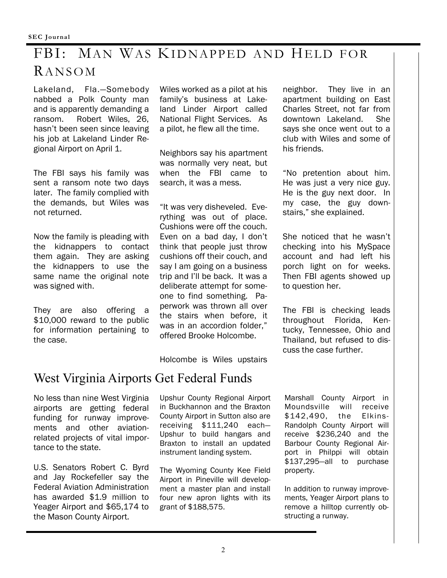### FBI: MAN WAS KIDNAPPED AND HELD FOR RANSOM

Lakeland, Fla.—Somebody nabbed a Polk County man and is apparently demanding a ransom. Robert Wiles, 26, hasn't been seen since leaving his job at Lakeland Linder Regional Airport on April 1.

The FBI says his family was sent a ransom note two days later. The family complied with the demands, but Wiles was not returned.

Now the family is pleading with the kidnappers to contact them again. They are asking the kidnappers to use the same name the original note was signed with.

They are also offering a \$10,000 reward to the public for information pertaining to the case.

Wiles worked as a pilot at his family's business at Lakeland Linder Airport called National Flight Services. As a pilot, he flew all the time.

Neighbors say his apartment was normally very neat, but when the FBI came to search, it was a mess.

"It was very disheveled. Everything was out of place. Cushions were off the couch. Even on a bad day, I don't think that people just throw cushions off their couch, and say I am going on a business trip and I'll be back. It was a deliberate attempt for someone to find something. Paperwork was thrown all over the stairs when before, it was in an accordion folder," offered Brooke Holcombe.

Holcombe is Wiles upstairs

### West Virginia Airports Get Federal Funds

No less than nine West Virginia airports are getting federal funding for runway improvements and other aviationrelated projects of vital importance to the state.

U.S. Senators Robert C. Byrd and Jay Rockefeller say the Federal Aviation Administration has awarded \$1.9 million to Yeager Airport and \$65,174 to the Mason County Airport.

Upshur County Regional Airport in Buckhannon and the Braxton County Airport in Sutton also are receiving \$111,240 each— Upshur to build hangars and Braxton to install an updated instrument landing system.

The Wyoming County Kee Field Airport in Pineville will development a master plan and install four new apron lights with its grant of \$188,575.

neighbor. They live in an apartment building on East Charles Street, not far from downtown Lakeland. She says she once went out to a club with Wiles and some of his friends.

"No pretention about him. He was just a very nice guy. He is the guy next door. In my case, the guy downstairs," she explained.

She noticed that he wasn't checking into his MySpace account and had left his porch light on for weeks. Then FBI agents showed up to question her.

The FBI is checking leads throughout Florida, Kentucky, Tennessee, Ohio and Thailand, but refused to discuss the case further.

Marshall County Airport in Moundsville will receive \$142,490, the Elkins-Randolph County Airport will receive \$236,240 and the Barbour County Regional Airport in Philppi will obtain \$137,295—all to purchase property.

In addition to runway improvements, Yeager Airport plans to remove a hilltop currently obstructing a runway.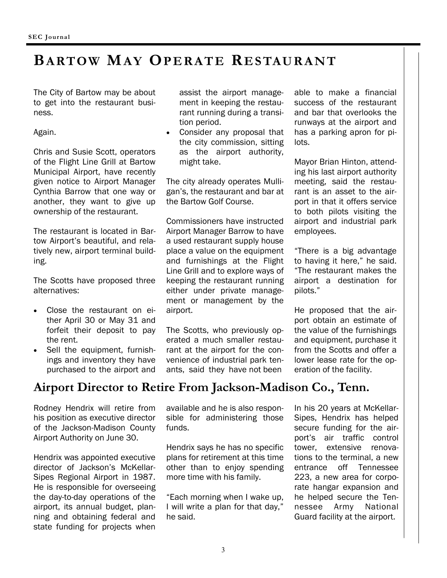# **BARTOW MAY OPERATE RESTAURANT**

The City of Bartow may be about to get into the restaurant business.

Again.

Chris and Susie Scott, operators of the Flight Line Grill at Bartow Municipal Airport, have recently given notice to Airport Manager Cynthia Barrow that one way or another, they want to give up ownership of the restaurant.

The restaurant is located in Bartow Airport's beautiful, and relatively new, airport terminal building.

The Scotts have proposed three alternatives:

- Close the restaurant on either April 30 or May 31 and forfeit their deposit to pay the rent.
- Sell the equipment, furnishings and inventory they have purchased to the airport and

Rodney Hendrix will retire from his position as executive director of the Jackson-Madison County Airport Authority on June 30.

Hendrix was appointed executive director of Jackson's McKellar-Sipes Regional Airport in 1987. He is responsible for overseeing the day-to-day operations of the airport, its annual budget, planning and obtaining federal and state funding for projects when

assist the airport management in keeping the restaurant running during a transition period.

Consider any proposal that the city commission, sitting as the airport authority, might take.

The city already operates Mulligan's, the restaurant and bar at the Bartow Golf Course.

Commissioners have instructed Airport Manager Barrow to have a used restaurant supply house place a value on the equipment and furnishings at the Flight Line Grill and to explore ways of keeping the restaurant running either under private management or management by the airport.

The Scotts, who previously operated a much smaller restaurant at the airport for the convenience of industrial park tenants, said they have not been

able to make a financial success of the restaurant and bar that overlooks the runways at the airport and has a parking apron for pilots.

Mayor Brian Hinton, attending his last airport authority meeting, said the restaurant is an asset to the airport in that it offers service to both pilots visiting the airport and industrial park employees.

"There is a big advantage to having it here," he said. "The restaurant makes the airport a destination for pilots."

He proposed that the airport obtain an estimate of the value of the furnishings and equipment, purchase it from the Scotts and offer a lower lease rate for the operation of the facility.

**Airport Director to Retire From Jackson-Madison Co., Tenn.** 

available and he is also responsible for administering those funds.

Hendrix says he has no specific plans for retirement at this time other than to enjoy spending more time with his family.

"Each morning when I wake up, I will write a plan for that day," he said.

In his 20 years at McKellar-Sipes, Hendrix has helped secure funding for the airport's air traffic control tower, extensive renovations to the terminal, a new entrance off Tennessee 223, a new area for corporate hangar expansion and he helped secure the Tennessee Army National Guard facility at the airport.